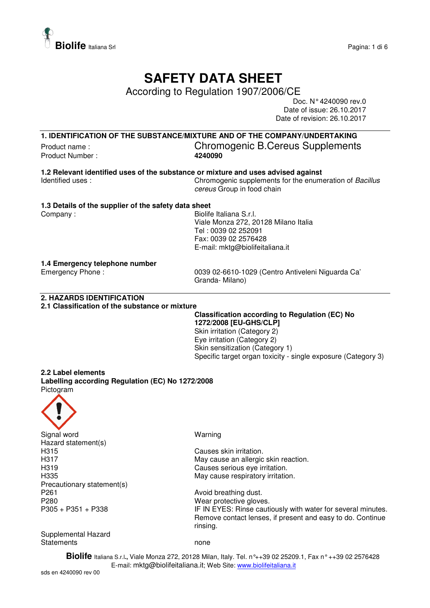

## **SAFETY DATA SHEET**

According to Regulation 1907/2006/CE

Doc. N° 4240090 rev.0 Date of issue: 26.10.2017 Date of revision: 26.10.2017

**1. IDENTIFICATION OF THE SUBSTANCE/MIXTURE AND OF THE COMPANY/UNDERTAKING**

Product Number :

# Product name :<br>
Product Number : Chromogenic B.Cereus Supplements<br>  $\frac{4240090}{4240090}$

**1.2 Relevant identified uses of the substance or mixture and uses advised against**  Chromogenic supplements for the enumeration of Bacillus cereus Group in food chain

#### **1.3 Details of the supplier of the safety data sheet**

Company : Company : General S.r.l. Biolife Italiana S.r.l. Viale Monza 272, 20128 Milano Italia Tel : 0039 02 252091 Fax: 0039 02 2576428 E-mail: mktg@biolifeitaliana.it

#### **1.4 Emergency telephone number**

Emergency Phone : 0039 02-6610-1029 (Centro Antiveleni Niguarda Ca' Granda- Milano)

#### **2. HAZARDS IDENTIFICATION**

#### **2.1 Classification of the substance or mixture**

**Classification according to Regulation (EC) No 1272/2008 [EU-GHS/CLP]**  Skin irritation (Category 2) Eye irritation (Category 2) Skin sensitization (Category 1) Specific target organ toxicity - single exposure (Category 3)

#### **2.2 Label elements Labelling according Regulation (EC) No 1272/2008**  Pictogram



Signal word Warning Hazard statement(s) H315 Causes skin irritation. Precautionary statement(s) P261 **Avoid breathing dust.** P280<br>
P305 + P351 + P338<br>
P305 + P351 + P338<br>
P305 + P351 + P338

H317 May cause an allergic skin reaction. H319 Causes serious eye irritation. H335 May cause respiratory irritation.

> IF IN EYES: Rinse cautiously with water for several minutes. Remove contact lenses, if present and easy to do. Continue rinsing.

Supplemental Hazard Statements none

**Biolife** Italiana S.r.l**.,** Viale Monza 272, 20128 Milan, Italy. Tel. n°++39 02 25209.1, Fax n° ++39 02 2576428 E-mail: mktg@biolifeitaliana.it; Web Site: www.biolifeitaliana.it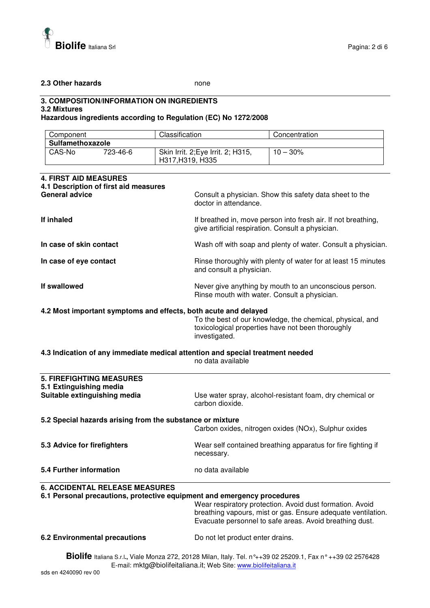

#### **2.3 Other hazards** none

### **3. COMPOSITION/INFORMATION ON INGREDIENTS**

#### **3.2 Mixtures**

#### **Hazardous ingredients according to Regulation (EC) No 1272/2008**

| Component        |          | Classification                                         | Concentration |  |
|------------------|----------|--------------------------------------------------------|---------------|--|
| Sulfamethoxazole |          |                                                        |               |  |
| CAS-No           | 723-46-6 | Skin Irrit. 2; Eye Irrit. 2; H315,<br>H317, H319, H335 | $10 - 30\%$   |  |

| <b>4. FIRST AID MEASURES</b><br>4.1 Description of first aid measures                                                                                                                                                                                                                                   |                                                                                                                                 |  |
|---------------------------------------------------------------------------------------------------------------------------------------------------------------------------------------------------------------------------------------------------------------------------------------------------------|---------------------------------------------------------------------------------------------------------------------------------|--|
| <b>General advice</b>                                                                                                                                                                                                                                                                                   | Consult a physician. Show this safety data sheet to the<br>doctor in attendance.                                                |  |
| If inhaled                                                                                                                                                                                                                                                                                              | If breathed in, move person into fresh air. If not breathing,<br>give artificial respiration. Consult a physician.              |  |
| In case of skin contact                                                                                                                                                                                                                                                                                 | Wash off with soap and plenty of water. Consult a physician.                                                                    |  |
| In case of eye contact                                                                                                                                                                                                                                                                                  | Rinse thoroughly with plenty of water for at least 15 minutes<br>and consult a physician.                                       |  |
| If swallowed                                                                                                                                                                                                                                                                                            | Never give anything by mouth to an unconscious person.<br>Rinse mouth with water. Consult a physician.                          |  |
| 4.2 Most important symptoms and effects, both acute and delayed                                                                                                                                                                                                                                         | To the best of our knowledge, the chemical, physical, and<br>toxicological properties have not been thoroughly<br>investigated. |  |
| 4.3 Indication of any immediate medical attention and special treatment needed<br>no data available                                                                                                                                                                                                     |                                                                                                                                 |  |
| <b>5. FIREFIGHTING MEASURES</b>                                                                                                                                                                                                                                                                         |                                                                                                                                 |  |
| 5.1 Extinguishing media<br>Suitable extinguishing media                                                                                                                                                                                                                                                 | Use water spray, alcohol-resistant foam, dry chemical or<br>carbon dioxide.                                                     |  |
| 5.2 Special hazards arising from the substance or mixture                                                                                                                                                                                                                                               |                                                                                                                                 |  |
|                                                                                                                                                                                                                                                                                                         | Carbon oxides, nitrogen oxides (NOx), Sulphur oxides                                                                            |  |
| 5.3 Advice for firefighters                                                                                                                                                                                                                                                                             | Wear self contained breathing apparatus for fire fighting if<br>necessary.                                                      |  |
| <b>5.4 Further information</b>                                                                                                                                                                                                                                                                          | no data available                                                                                                               |  |
| <b>6. ACCIDENTAL RELEASE MEASURES</b><br>6.1 Personal precautions, protective equipment and emergency procedures<br>Wear respiratory protection. Avoid dust formation. Avoid<br>breathing vapours, mist or gas. Ensure adequate ventilation.<br>Evacuate personnel to safe areas. Avoid breathing dust. |                                                                                                                                 |  |
| 6.2 Environmental precautions                                                                                                                                                                                                                                                                           | Do not let product enter drains.                                                                                                |  |
| Biolife Italiana S.r.l., Viale Monza 272, 20128 Milan, Italy. Tel. n°++39 02 25209.1, Fax n° ++39 02 2576428                                                                                                                                                                                            |                                                                                                                                 |  |

E-mail: mktg@biolifeitaliana.it; Web Site: www.biolifeitaliana.it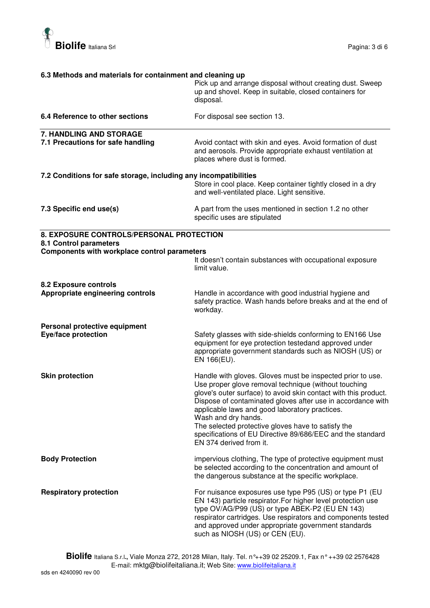

| 6.3 Methods and materials for containment and cleaning up                                                                 |                                                                                                                                                                                                                                                                                                                                                                                                                                                                              |  |
|---------------------------------------------------------------------------------------------------------------------------|------------------------------------------------------------------------------------------------------------------------------------------------------------------------------------------------------------------------------------------------------------------------------------------------------------------------------------------------------------------------------------------------------------------------------------------------------------------------------|--|
|                                                                                                                           | Pick up and arrange disposal without creating dust. Sweep<br>up and shovel. Keep in suitable, closed containers for<br>disposal.                                                                                                                                                                                                                                                                                                                                             |  |
| 6.4 Reference to other sections                                                                                           | For disposal see section 13.                                                                                                                                                                                                                                                                                                                                                                                                                                                 |  |
| 7. HANDLING AND STORAGE<br>7.1 Precautions for safe handling                                                              | Avoid contact with skin and eyes. Avoid formation of dust<br>and aerosols. Provide appropriate exhaust ventilation at<br>places where dust is formed.                                                                                                                                                                                                                                                                                                                        |  |
| 7.2 Conditions for safe storage, including any incompatibilities                                                          | Store in cool place. Keep container tightly closed in a dry<br>and well-ventilated place. Light sensitive.                                                                                                                                                                                                                                                                                                                                                                   |  |
| 7.3 Specific end use(s)                                                                                                   | A part from the uses mentioned in section 1.2 no other<br>specific uses are stipulated                                                                                                                                                                                                                                                                                                                                                                                       |  |
| 8. EXPOSURE CONTROLS/PERSONAL PROTECTION<br>8.1 Control parameters<br><b>Components with workplace control parameters</b> |                                                                                                                                                                                                                                                                                                                                                                                                                                                                              |  |
|                                                                                                                           | It doesn't contain substances with occupational exposure<br>limit value.                                                                                                                                                                                                                                                                                                                                                                                                     |  |
| 8.2 Exposure controls<br>Appropriate engineering controls                                                                 | Handle in accordance with good industrial hygiene and<br>safety practice. Wash hands before breaks and at the end of<br>workday.                                                                                                                                                                                                                                                                                                                                             |  |
| Personal protective equipment<br>Eye/face protection                                                                      | Safety glasses with side-shields conforming to EN166 Use<br>equipment for eye protection testedand approved under<br>appropriate government standards such as NIOSH (US) or<br>EN 166(EU).                                                                                                                                                                                                                                                                                   |  |
| <b>Skin protection</b>                                                                                                    | Handle with gloves. Gloves must be inspected prior to use.<br>Use proper glove removal technique (without touching<br>glove's outer surface) to avoid skin contact with this product.<br>Dispose of contaminated gloves after use in accordance with<br>applicable laws and good laboratory practices.<br>Wash and dry hands.<br>The selected protective gloves have to satisfy the<br>specifications of EU Directive 89/686/EEC and the standard<br>EN 374 derived from it. |  |
| <b>Body Protection</b>                                                                                                    | impervious clothing, The type of protective equipment must<br>be selected according to the concentration and amount of<br>the dangerous substance at the specific workplace.                                                                                                                                                                                                                                                                                                 |  |
| <b>Respiratory protection</b>                                                                                             | For nuisance exposures use type P95 (US) or type P1 (EU<br>EN 143) particle respirator. For higher level protection use<br>type OV/AG/P99 (US) or type ABEK-P2 (EU EN 143)<br>respirator cartridges. Use respirators and components tested<br>and approved under appropriate government standards<br>such as NIOSH (US) or CEN (EU).                                                                                                                                         |  |

**Biolife** Italiana S.r.l**.,** Viale Monza 272, 20128 Milan, Italy. Tel. n°++39 02 25209.1, Fax n° ++39 02 2576428 E-mail: mktg@biolifeitaliana.it; Web Site: www.biolifeitaliana.it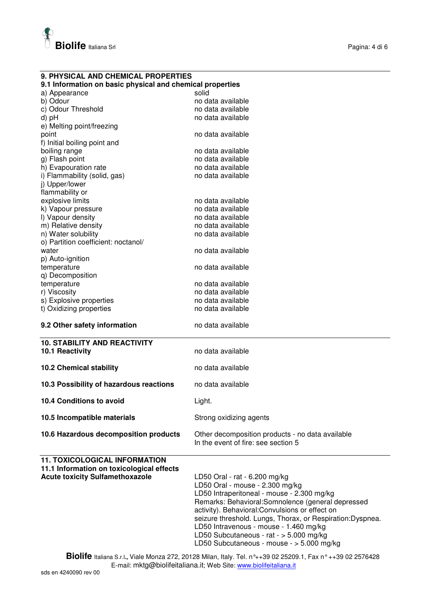

**9. PHYSICAL AND CHEMICAL PROPERTIES** 

| 9.1 Information on basic physical and chemical properties                           |                                                                                                                                                           |  |  |  |
|-------------------------------------------------------------------------------------|-----------------------------------------------------------------------------------------------------------------------------------------------------------|--|--|--|
| a) Appearance                                                                       | solid                                                                                                                                                     |  |  |  |
| b) Odour                                                                            | no data available                                                                                                                                         |  |  |  |
| c) Odour Threshold                                                                  | no data available                                                                                                                                         |  |  |  |
| d) pH                                                                               | no data available                                                                                                                                         |  |  |  |
| e) Melting point/freezing                                                           |                                                                                                                                                           |  |  |  |
| point                                                                               | no data available                                                                                                                                         |  |  |  |
| f) Initial boiling point and<br>boiling range                                       | no data available                                                                                                                                         |  |  |  |
| g) Flash point                                                                      | no data available                                                                                                                                         |  |  |  |
| h) Evapouration rate                                                                | no data available                                                                                                                                         |  |  |  |
| i) Flammability (solid, gas)                                                        | no data available                                                                                                                                         |  |  |  |
| j) Upper/lower                                                                      |                                                                                                                                                           |  |  |  |
| flammability or                                                                     |                                                                                                                                                           |  |  |  |
| explosive limits                                                                    | no data available                                                                                                                                         |  |  |  |
| k) Vapour pressure                                                                  | no data available                                                                                                                                         |  |  |  |
| I) Vapour density                                                                   | no data available                                                                                                                                         |  |  |  |
| m) Relative density                                                                 | no data available                                                                                                                                         |  |  |  |
| n) Water solubility                                                                 | no data available                                                                                                                                         |  |  |  |
| o) Partition coefficient: noctanol/                                                 |                                                                                                                                                           |  |  |  |
| water                                                                               | no data available                                                                                                                                         |  |  |  |
| p) Auto-ignition                                                                    |                                                                                                                                                           |  |  |  |
| temperature                                                                         | no data available                                                                                                                                         |  |  |  |
| q) Decomposition<br>temperature                                                     | no data available                                                                                                                                         |  |  |  |
| r) Viscosity                                                                        | no data available                                                                                                                                         |  |  |  |
| s) Explosive properties                                                             | no data available                                                                                                                                         |  |  |  |
| t) Oxidizing properties                                                             | no data available                                                                                                                                         |  |  |  |
|                                                                                     |                                                                                                                                                           |  |  |  |
| 9.2 Other safety information                                                        | no data available                                                                                                                                         |  |  |  |
|                                                                                     |                                                                                                                                                           |  |  |  |
|                                                                                     |                                                                                                                                                           |  |  |  |
| <b>10. STABILITY AND REACTIVITY</b>                                                 |                                                                                                                                                           |  |  |  |
| 10.1 Reactivity                                                                     | no data available                                                                                                                                         |  |  |  |
|                                                                                     | no data available                                                                                                                                         |  |  |  |
| <b>10.2 Chemical stability</b>                                                      |                                                                                                                                                           |  |  |  |
| 10.3 Possibility of hazardous reactions                                             | no data available                                                                                                                                         |  |  |  |
| <b>10.4 Conditions to avoid</b>                                                     |                                                                                                                                                           |  |  |  |
|                                                                                     | Light.                                                                                                                                                    |  |  |  |
| 10.5 Incompatible materials                                                         | Strong oxidizing agents                                                                                                                                   |  |  |  |
| 10.6 Hazardous decomposition products                                               | Other decomposition products - no data available                                                                                                          |  |  |  |
|                                                                                     | In the event of fire: see section 5                                                                                                                       |  |  |  |
|                                                                                     |                                                                                                                                                           |  |  |  |
| <b>11. TOXICOLOGICAL INFORMATION</b>                                                |                                                                                                                                                           |  |  |  |
| 11.1 Information on toxicological effects<br><b>Acute toxicity Sulfamethoxazole</b> | LD50 Oral - rat - 6.200 mg/kg                                                                                                                             |  |  |  |
|                                                                                     | LD50 Oral - mouse - 2.300 mg/kg                                                                                                                           |  |  |  |
|                                                                                     | LD50 Intraperitoneal - mouse - 2.300 mg/kg                                                                                                                |  |  |  |
|                                                                                     | Remarks: Behavioral:Somnolence (general depressed                                                                                                         |  |  |  |
|                                                                                     | activity). Behavioral: Convulsions or effect on                                                                                                           |  |  |  |
|                                                                                     | seizure threshold. Lungs, Thorax, or Respiration:Dyspnea.                                                                                                 |  |  |  |
|                                                                                     | LD50 Intravenous - mouse - 1.460 mg/kg                                                                                                                    |  |  |  |
|                                                                                     | LD50 Subcutaneous - rat - > 5.000 mg/kg                                                                                                                   |  |  |  |
|                                                                                     | LD50 Subcutaneous - mouse - > 5.000 mg/kg<br>Biolife Italiana S.r.l., Viale Monza 272, 20128 Milan, Italy. Tel. n°++39 02 25209.1, Fax n° ++39 02 2576428 |  |  |  |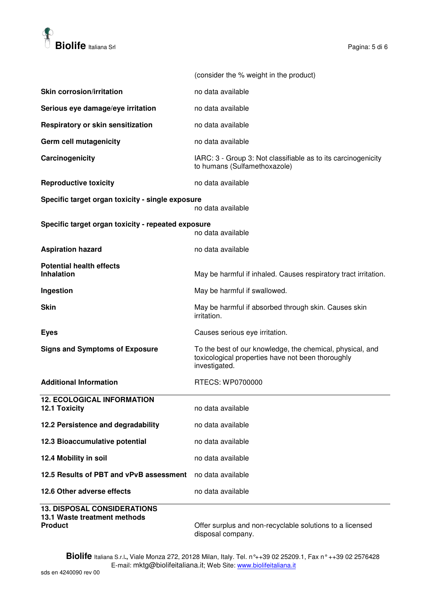

|                                                                       | (consider the % weight in the product)                                                                                          |
|-----------------------------------------------------------------------|---------------------------------------------------------------------------------------------------------------------------------|
| <b>Skin corrosion/irritation</b>                                      | no data available                                                                                                               |
| Serious eye damage/eye irritation                                     | no data available                                                                                                               |
| Respiratory or skin sensitization                                     | no data available                                                                                                               |
| Germ cell mutagenicity                                                | no data available                                                                                                               |
| Carcinogenicity                                                       | IARC: 3 - Group 3: Not classifiable as to its carcinogenicity<br>to humans (Sulfamethoxazole)                                   |
| <b>Reproductive toxicity</b>                                          | no data available                                                                                                               |
| Specific target organ toxicity - single exposure<br>no data available |                                                                                                                                 |
| Specific target organ toxicity - repeated exposure                    | no data available                                                                                                               |
| <b>Aspiration hazard</b>                                              | no data available                                                                                                               |
| <b>Potential health effects</b><br><b>Inhalation</b>                  | May be harmful if inhaled. Causes respiratory tract irritation.                                                                 |
| Ingestion                                                             | May be harmful if swallowed.                                                                                                    |
| <b>Skin</b>                                                           | May be harmful if absorbed through skin. Causes skin<br>irritation.                                                             |
| <b>Eyes</b>                                                           | Causes serious eye irritation.                                                                                                  |
| <b>Signs and Symptoms of Exposure</b>                                 | To the best of our knowledge, the chemical, physical, and<br>toxicological properties have not been thoroughly<br>investigated. |
| <b>Additional Information</b>                                         | RTECS: WP0700000                                                                                                                |
| <b>12. ECOLOGICAL INFORMATION</b><br><b>12.1 Toxicity</b>             | no data available                                                                                                               |
| 12.2 Persistence and degradability                                    | no data available                                                                                                               |
| 12.3 Bioaccumulative potential                                        | no data available                                                                                                               |
| 12.4 Mobility in soil                                                 | no data available                                                                                                               |
| 12.5 Results of PBT and vPvB assessment                               | no data available                                                                                                               |
| 12.6 Other adverse effects                                            | no data available                                                                                                               |
| <b>13. DISPOSAL CONSIDERATIONS</b><br>13.1 Waste treatment methods    |                                                                                                                                 |

**Product** Product **Product Product Offer surplus and non-recyclable solutions to a licensed** disposal company.

**Biolife** Italiana S.r.l**.,** Viale Monza 272, 20128 Milan, Italy. Tel. n°++39 02 25209.1, Fax n° ++39 02 2576428 E-mail: mktg@biolifeitaliana.it; Web Site: www.biolifeitaliana.it